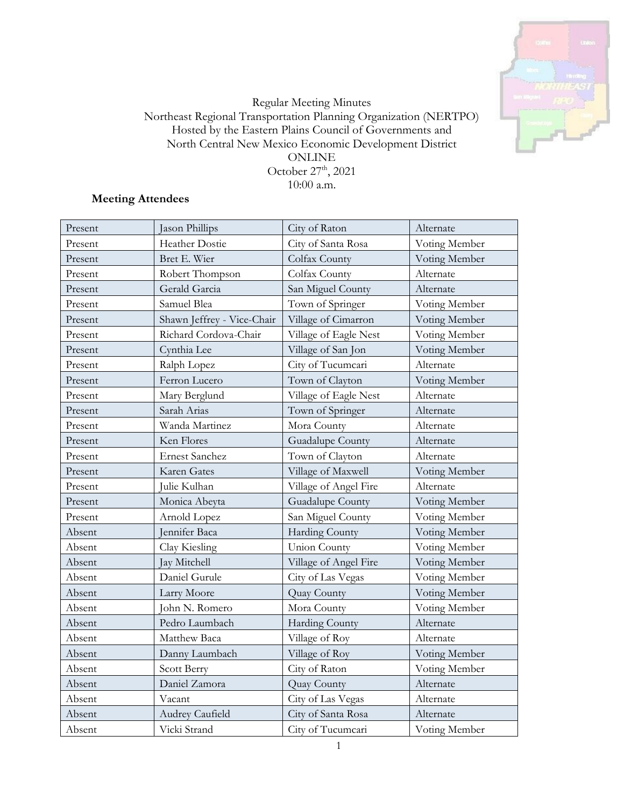

## Regular Meeting Minutes Northeast Regional Transportation Planning Organization (NERTPO) Hosted by the Eastern Plains Council of Governments and North Central New Mexico Economic Development District ONLINE October  $27<sup>th</sup>$ , 2021 10:00 a.m.

# **Meeting Attendees**

| Present | Jason Phillips             | City of Raton         | Alternate     |
|---------|----------------------------|-----------------------|---------------|
| Present | Heather Dostie             | City of Santa Rosa    | Voting Member |
| Present | Bret E. Wier               | Colfax County         | Voting Member |
| Present | Robert Thompson            | Colfax County         | Alternate     |
| Present | Gerald Garcia              | San Miguel County     | Alternate     |
| Present | Samuel Blea                | Town of Springer      | Voting Member |
| Present | Shawn Jeffrey - Vice-Chair | Village of Cimarron   | Voting Member |
| Present | Richard Cordova-Chair      | Village of Eagle Nest | Voting Member |
| Present | Cynthia Lee                | Village of San Jon    | Voting Member |
| Present | Ralph Lopez                | City of Tucumcari     | Alternate     |
| Present | Ferron Lucero              | Town of Clayton       | Voting Member |
| Present | Mary Berglund              | Village of Eagle Nest | Alternate     |
| Present | Sarah Arias                | Town of Springer      | Alternate     |
| Present | Wanda Martinez             | Mora County           | Alternate     |
| Present | Ken Flores                 | Guadalupe County      | Alternate     |
| Present | <b>Ernest Sanchez</b>      | Town of Clayton       | Alternate     |
| Present | Karen Gates                | Village of Maxwell    | Voting Member |
| Present | Julie Kulhan               | Village of Angel Fire | Alternate     |
| Present | Monica Abeyta              | Guadalupe County      | Voting Member |
| Present | Arnold Lopez               | San Miguel County     | Voting Member |
| Absent  | Jennifer Baca              | <b>Harding County</b> | Voting Member |
| Absent  | Clay Kiesling              | <b>Union County</b>   | Voting Member |
| Absent  | Jay Mitchell               | Village of Angel Fire | Voting Member |
| Absent  | Daniel Gurule              | City of Las Vegas     | Voting Member |
| Absent  | Larry Moore                | Quay County           | Voting Member |
| Absent  | John N. Romero             | Mora County           | Voting Member |
| Absent  | Pedro Laumbach             | <b>Harding County</b> | Alternate     |
| Absent  | Matthew Baca               | Village of Roy        | Alternate     |
| Absent  | Danny Laumbach             | Village of Roy        | Voting Member |
| Absent  | Scott Berry                | City of Raton         | Voting Member |
| Absent  | Daniel Zamora              | Quay County           | Alternate     |
| Absent  | Vacant                     | City of Las Vegas     | Alternate     |
| Absent  | Audrey Caufield            | City of Santa Rosa    | Alternate     |
| Absent  | Vicki Strand               | City of Tucumcari     | Voting Member |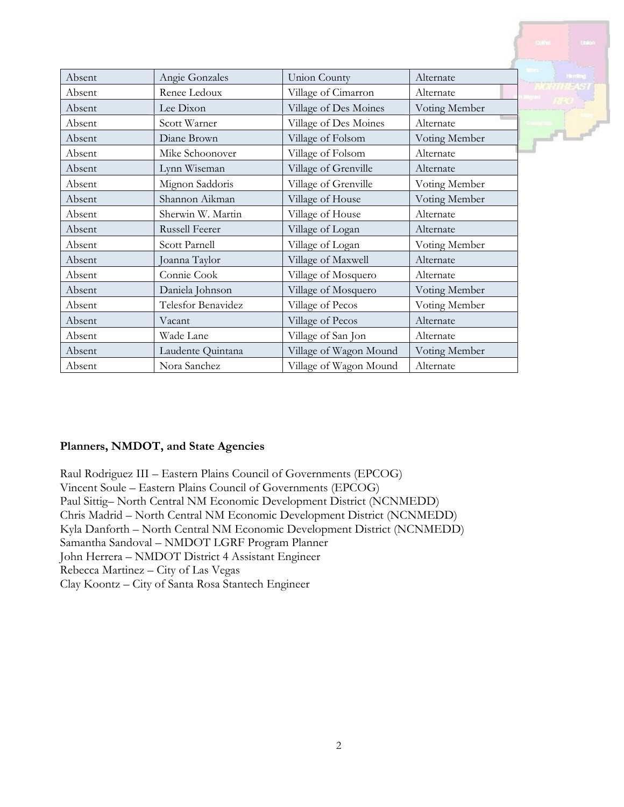|        |                       |                        |               | $01$ on<br><b>Dolfre</b> |
|--------|-----------------------|------------------------|---------------|--------------------------|
|        |                       |                        |               |                          |
| Absent | Angie Gonzales        | <b>Union County</b>    | Alternate     | <b>His stilling</b>      |
| Absent | Renee Ledoux          | Village of Cimarron    | Alternate     |                          |
| Absent | Lee Dixon             | Village of Des Moines  | Voting Member |                          |
| Absent | Scott Warner          | Village of Des Moines  | Alternate     |                          |
| Absent | Diane Brown           | Village of Folsom      | Voting Member |                          |
| Absent | Mike Schoonover       | Village of Folsom      | Alternate     |                          |
| Absent | Lynn Wiseman          | Village of Grenville   | Alternate     |                          |
| Absent | Mignon Saddoris       | Village of Grenville   | Voting Member |                          |
| Absent | Shannon Aikman        | Village of House       | Voting Member |                          |
| Absent | Sherwin W. Martin     | Village of House       | Alternate     |                          |
| Absent | <b>Russell Feerer</b> | Village of Logan       | Alternate     |                          |
| Absent | Scott Parnell         | Village of Logan       | Voting Member |                          |
| Absent | Joanna Taylor         | Village of Maxwell     | Alternate     |                          |
| Absent | Connie Cook           | Village of Mosquero    | Alternate     |                          |
| Absent | Daniela Johnson       | Village of Mosquero    | Voting Member |                          |
| Absent | Telesfor Benavidez    | Village of Pecos       | Voting Member |                          |
| Absent | Vacant                | Village of Pecos       | Alternate     |                          |
| Absent | Wade Lane             | Village of San Jon     | Alternate     |                          |
| Absent | Laudente Quintana     | Village of Wagon Mound | Voting Member |                          |
| Absent | Nora Sanchez          | Village of Wagon Mound | Alternate     |                          |

## **Planners, NMDOT, and State Agencies**

Raul Rodriguez III – Eastern Plains Council of Governments (EPCOG) Vincent Soule – Eastern Plains Council of Governments (EPCOG) Paul Sittig– North Central NM Economic Development District (NCNMEDD) Chris Madrid – North Central NM Economic Development District (NCNMEDD) Kyla Danforth – North Central NM Economic Development District (NCNMEDD) Samantha Sandoval – NMDOT LGRF Program Planner John Herrera – NMDOT District 4 Assistant Engineer Rebecca Martinez – City of Las Vegas Clay Koontz – City of Santa Rosa Stantech Engineer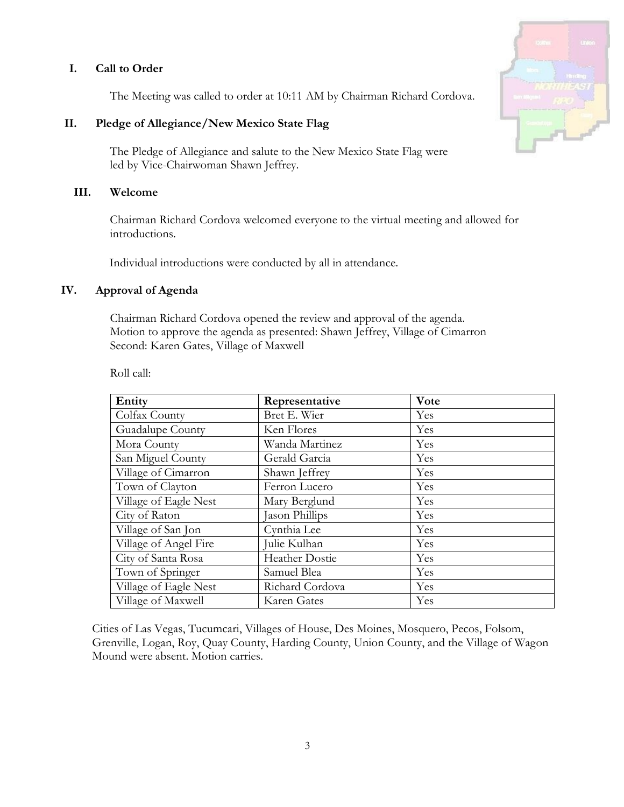## **I. Call to Order**

The Meeting was called to order at 10:11 AM by Chairman Richard Cordova.

## **II. Pledge of Allegiance/New Mexico State Flag**

The Pledge of Allegiance and salute to the New Mexico State Flag were led by Vice-Chairwoman Shawn Jeffrey.

#### **III. Welcome**

Chairman Richard Cordova welcomed everyone to the virtual meeting and allowed for introductions.

Individual introductions were conducted by all in attendance.

#### **IV. Approval of Agenda**

Chairman Richard Cordova opened the review and approval of the agenda. Motion to approve the agenda as presented: Shawn Jeffrey, Village of Cimarron Second: Karen Gates, Village of Maxwell

Roll call:

| Entity                | Representative        | Vote |
|-----------------------|-----------------------|------|
| Colfax County         | Bret E. Wier          | Yes  |
| Guadalupe County      | Ken Flores            | Yes  |
| Mora County           | Wanda Martinez        | Yes  |
| San Miguel County     | Gerald Garcia         | Yes  |
| Village of Cimarron   | Shawn Jeffrey         | Yes  |
| Town of Clayton       | Ferron Lucero         | Yes  |
| Village of Eagle Nest | Mary Berglund         | Yes  |
| City of Raton         | Jason Phillips        | Yes  |
| Village of San Jon    | Cynthia Lee           | Yes  |
| Village of Angel Fire | Julie Kulhan          | Yes  |
| City of Santa Rosa    | <b>Heather Dostie</b> | Yes  |
| Town of Springer      | Samuel Blea           | Yes  |
| Village of Eagle Nest | Richard Cordova       | Yes  |
| Village of Maxwell    | Karen Gates           | Yes  |

Cities of Las Vegas, Tucumcari, Villages of House, Des Moines, Mosquero, Pecos, Folsom, Grenville, Logan, Roy, Quay County, Harding County, Union County, and the Village of Wagon Mound were absent. Motion carries.

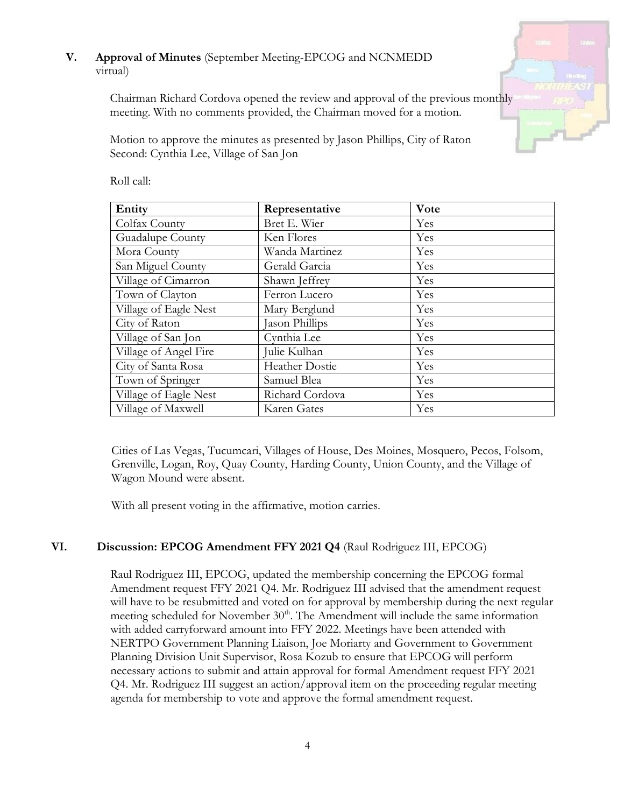# **V. Approval of Minutes** (September Meeting-EPCOG and NCNMEDD virtual)

Chairman Richard Cordova opened the review and approval of the previous monthly meeting. With no comments provided, the Chairman moved for a motion.

Motion to approve the minutes as presented by Jason Phillips, City of Raton Second: Cynthia Lee, Village of San Jon

| Entity                | Representative        | Vote |
|-----------------------|-----------------------|------|
| Colfax County         | Bret E. Wier          | Yes  |
| Guadalupe County      | Ken Flores            | Yes  |
| Mora County           | Wanda Martinez        | Yes  |
| San Miguel County     | Gerald Garcia         | Yes  |
| Village of Cimarron   | Shawn Jeffrey         | Yes  |
| Town of Clayton       | Ferron Lucero         | Yes  |
| Village of Eagle Nest | Mary Berglund         | Yes  |
| City of Raton         | Jason Phillips        | Yes  |
| Village of San Jon    | Cynthia Lee           | Yes  |
| Village of Angel Fire | Julie Kulhan          | Yes  |
| City of Santa Rosa    | <b>Heather Dostie</b> | Yes  |
| Town of Springer      | Samuel Blea           | Yes  |
| Village of Eagle Nest | Richard Cordova       | Yes  |
| Village of Maxwell    | Karen Gates           | Yes  |

Roll call:

Cities of Las Vegas, Tucumcari, Villages of House, Des Moines, Mosquero, Pecos, Folsom, Grenville, Logan, Roy, Quay County, Harding County, Union County, and the Village of Wagon Mound were absent.

With all present voting in the affirmative, motion carries.

# **VI. Discussion: EPCOG Amendment FFY 2021 Q4** (Raul Rodriguez III, EPCOG)

Raul Rodriguez III, EPCOG, updated the membership concerning the EPCOG formal Amendment request FFY 2021 Q4. Mr. Rodriguez III advised that the amendment request will have to be resubmitted and voted on for approval by membership during the next regular meeting scheduled for November  $30<sup>th</sup>$ . The Amendment will include the same information with added carryforward amount into FFY 2022. Meetings have been attended with NERTPO Government Planning Liaison, Joe Moriarty and Government to Government Planning Division Unit Supervisor, Rosa Kozub to ensure that EPCOG will perform necessary actions to submit and attain approval for formal Amendment request FFY 2021 Q4. Mr. Rodriguez III suggest an action/approval item on the proceeding regular meeting agenda for membership to vote and approve the formal amendment request.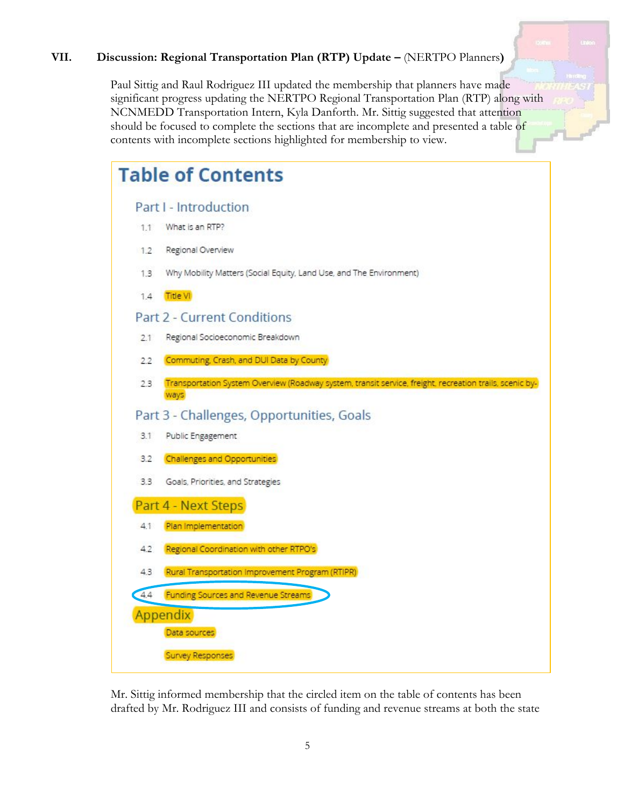# **VII. Discussion: Regional Transportation Plan (RTP) Update –** (NERTPO Planners**)**

Paul Sittig and Raul Rodriguez III updated the membership that planners have made significant progress updating the NERTPO Regional Transportation Plan (RTP) along with NCNMEDD Transportation Intern, Kyla Danforth. Mr. Sittig suggested that attention should be focused to complete the sections that are incomplete and presented a table of contents with incomplete sections highlighted for membership to view.

|     | <b>Table of Contents</b>                                                                                        |
|-----|-----------------------------------------------------------------------------------------------------------------|
|     | Part I - Introduction                                                                                           |
| 1.1 | What is an RTP?                                                                                                 |
| 1.2 | Regional Overview                                                                                               |
| 1.3 | Why Mobility Matters (Social Equity, Land Use, and The Environment)                                             |
| 1.4 | <b>Title VI</b>                                                                                                 |
|     | <b>Part 2 - Current Conditions</b>                                                                              |
| 2.1 | Regional Socioeconomic Breakdown                                                                                |
| 22  | Commuting, Crash, and DUI Data by County                                                                        |
| 2.3 | Transportation System Overview (Roadway system, transit service, freight, recreation trails, scenic by-<br>ways |
|     | Part 3 - Challenges, Opportunities, Goals                                                                       |
| 3.1 | Public Engagement                                                                                               |
| 3.2 | <b>Challenges and Opportunities</b>                                                                             |
| 3.3 | Goals, Priorities, and Strategies                                                                               |
|     | Part 4 - Next Steps                                                                                             |
| 4.1 | Plan Implementation                                                                                             |
| 4.2 | Regional Coordination with other RTPO's                                                                         |
| 4.3 | Rural Transportation Improvement Program (RTIPR)                                                                |
| 44  | <b>Funding Sources and Revenue Streams</b>                                                                      |
|     | Appendix                                                                                                        |
|     | Data sources                                                                                                    |
|     | <b>Survey Responses</b>                                                                                         |

Mr. Sittig informed membership that the circled item on the table of contents has been drafted by Mr. Rodriguez III and consists of funding and revenue streams at both the state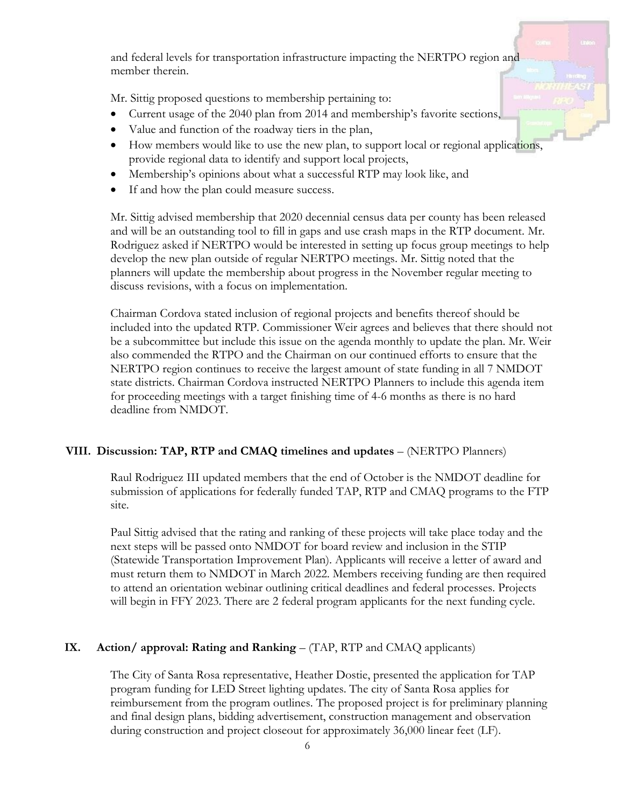and federal levels for transportation infrastructure impacting the NERTPO region and member therein.

Mr. Sittig proposed questions to membership pertaining to:

- Current usage of the 2040 plan from 2014 and membership's favorite sections,
- Value and function of the roadway tiers in the plan,
- How members would like to use the new plan, to support local or regional applications, provide regional data to identify and support local projects,
- Membership's opinions about what a successful RTP may look like, and
- If and how the plan could measure success.

Mr. Sittig advised membership that 2020 decennial census data per county has been released and will be an outstanding tool to fill in gaps and use crash maps in the RTP document. Mr. Rodriguez asked if NERTPO would be interested in setting up focus group meetings to help develop the new plan outside of regular NERTPO meetings. Mr. Sittig noted that the planners will update the membership about progress in the November regular meeting to discuss revisions, with a focus on implementation.

Chairman Cordova stated inclusion of regional projects and benefits thereof should be included into the updated RTP. Commissioner Weir agrees and believes that there should not be a subcommittee but include this issue on the agenda monthly to update the plan. Mr. Weir also commended the RTPO and the Chairman on our continued efforts to ensure that the NERTPO region continues to receive the largest amount of state funding in all 7 NMDOT state districts. Chairman Cordova instructed NERTPO Planners to include this agenda item for proceeding meetings with a target finishing time of 4-6 months as there is no hard deadline from NMDOT.

## **VIII. Discussion: TAP, RTP and CMAQ timelines and updates** – (NERTPO Planners)

Raul Rodriguez III updated members that the end of October is the NMDOT deadline for submission of applications for federally funded TAP, RTP and CMAQ programs to the FTP site.

Paul Sittig advised that the rating and ranking of these projects will take place today and the next steps will be passed onto NMDOT for board review and inclusion in the STIP (Statewide Transportation Improvement Plan). Applicants will receive a letter of award and must return them to NMDOT in March 2022. Members receiving funding are then required to attend an orientation webinar outlining critical deadlines and federal processes. Projects will begin in FFY 2023. There are 2 federal program applicants for the next funding cycle.

# **IX. Action/ approval: Rating and Ranking** – (TAP, RTP and CMAQ applicants)

The City of Santa Rosa representative, Heather Dostie, presented the application for TAP program funding for LED Street lighting updates. The city of Santa Rosa applies for reimbursement from the program outlines. The proposed project is for preliminary planning and final design plans, bidding advertisement, construction management and observation during construction and project closeout for approximately 36,000 linear feet (LF).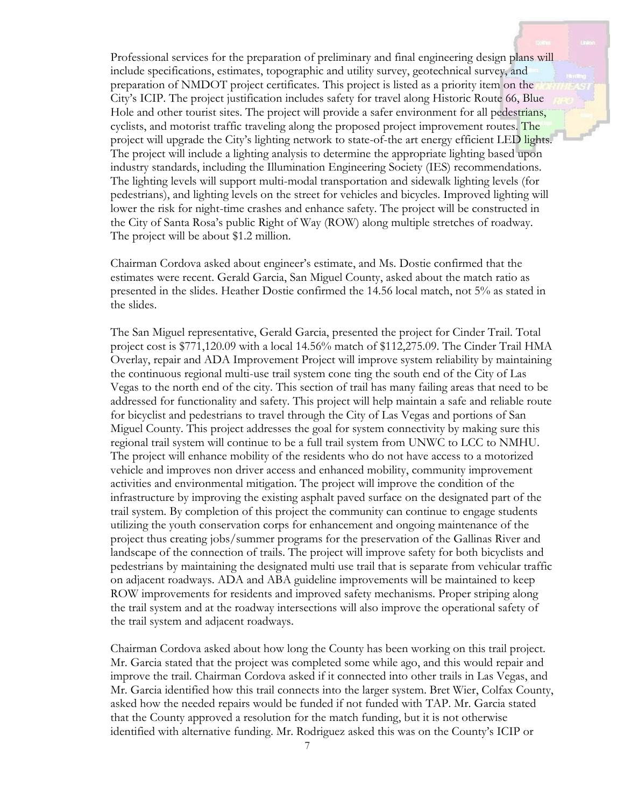Professional services for the preparation of preliminary and final engineering design plans will include specifications, estimates, topographic and utility survey, geotechnical survey, and preparation of NMDOT project certificates. This project is listed as a priority item on the City's ICIP. The project justification includes safety for travel along Historic Route 66, Blue Hole and other tourist sites. The project will provide a safer environment for all pedestrians, cyclists, and motorist traffic traveling along the proposed project improvement routes. The project will upgrade the City's lighting network to state-of-the art energy efficient LED lights. The project will include a lighting analysis to determine the appropriate lighting based upon industry standards, including the Illumination Engineering Society (IES) recommendations. The lighting levels will support multi-modal transportation and sidewalk lighting levels (for pedestrians), and lighting levels on the street for vehicles and bicycles. Improved lighting will lower the risk for night-time crashes and enhance safety. The project will be constructed in the City of Santa Rosa's public Right of Way (ROW) along multiple stretches of roadway. The project will be about \$1.2 million.

Chairman Cordova asked about engineer's estimate, and Ms. Dostie confirmed that the estimates were recent. Gerald Garcia, San Miguel County, asked about the match ratio as presented in the slides. Heather Dostie confirmed the 14.56 local match, not 5% as stated in the slides.

The San Miguel representative, Gerald Garcia, presented the project for Cinder Trail. Total project cost is \$771,120.09 with a local 14.56% match of \$112,275.09. The Cinder Trail HMA Overlay, repair and ADA Improvement Project will improve system reliability by maintaining the continuous regional multi-use trail system cone ting the south end of the City of Las Vegas to the north end of the city. This section of trail has many failing areas that need to be addressed for functionality and safety. This project will help maintain a safe and reliable route for bicyclist and pedestrians to travel through the City of Las Vegas and portions of San Miguel County. This project addresses the goal for system connectivity by making sure this regional trail system will continue to be a full trail system from UNWC to LCC to NMHU. The project will enhance mobility of the residents who do not have access to a motorized vehicle and improves non driver access and enhanced mobility, community improvement activities and environmental mitigation. The project will improve the condition of the infrastructure by improving the existing asphalt paved surface on the designated part of the trail system. By completion of this project the community can continue to engage students utilizing the youth conservation corps for enhancement and ongoing maintenance of the project thus creating jobs/summer programs for the preservation of the Gallinas River and landscape of the connection of trails. The project will improve safety for both bicyclists and pedestrians by maintaining the designated multi use trail that is separate from vehicular traffic on adjacent roadways. ADA and ABA guideline improvements will be maintained to keep ROW improvements for residents and improved safety mechanisms. Proper striping along the trail system and at the roadway intersections will also improve the operational safety of the trail system and adjacent roadways.

Chairman Cordova asked about how long the County has been working on this trail project. Mr. Garcia stated that the project was completed some while ago, and this would repair and improve the trail. Chairman Cordova asked if it connected into other trails in Las Vegas, and Mr. Garcia identified how this trail connects into the larger system. Bret Wier, Colfax County, asked how the needed repairs would be funded if not funded with TAP. Mr. Garcia stated that the County approved a resolution for the match funding, but it is not otherwise identified with alternative funding. Mr. Rodriguez asked this was on the County's ICIP or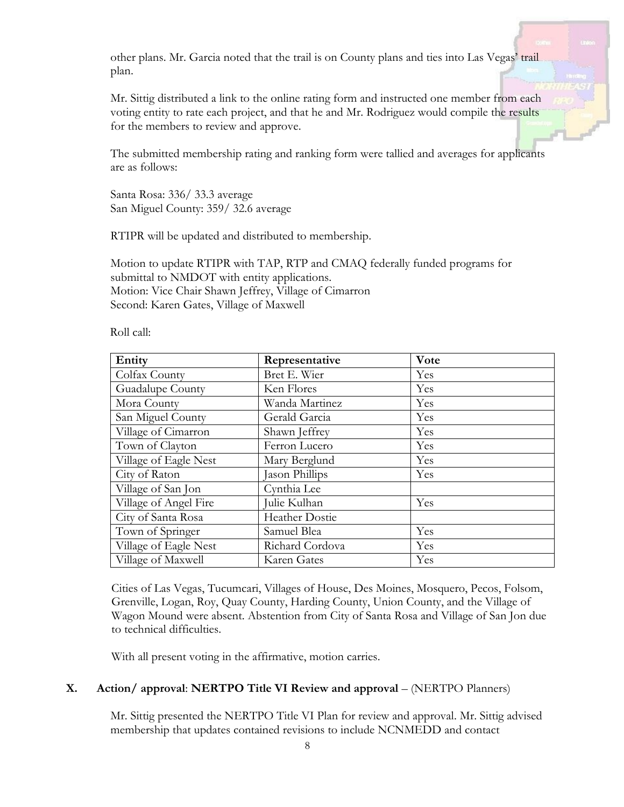other plans. Mr. Garcia noted that the trail is on County plans and ties into Las Vegas' trail plan.

Mr. Sittig distributed a link to the online rating form and instructed one member from each voting entity to rate each project, and that he and Mr. Rodriguez would compile the results for the members to review and approve.

The submitted membership rating and ranking form were tallied and averages for applicants are as follows:

Santa Rosa: 336/ 33.3 average San Miguel County: 359/ 32.6 average

RTIPR will be updated and distributed to membership.

Motion to update RTIPR with TAP, RTP and CMAQ federally funded programs for submittal to NMDOT with entity applications. Motion: Vice Chair Shawn Jeffrey, Village of Cimarron Second: Karen Gates, Village of Maxwell

Roll call:

| Entity                | Representative        | Vote |
|-----------------------|-----------------------|------|
| Colfax County         | Bret E. Wier          | Yes  |
| Guadalupe County      | Ken Flores            | Yes  |
| Mora County           | Wanda Martinez        | Yes  |
| San Miguel County     | Gerald Garcia         | Yes  |
| Village of Cimarron   | Shawn Jeffrey         | Yes  |
| Town of Clayton       | Ferron Lucero         | Yes  |
| Village of Eagle Nest | Mary Berglund         | Yes  |
| City of Raton         | Jason Phillips        | Yes  |
| Village of San Jon    | Cynthia Lee           |      |
| Village of Angel Fire | Julie Kulhan          | Yes  |
| City of Santa Rosa    | <b>Heather Dostie</b> |      |
| Town of Springer      | Samuel Blea           | Yes  |
| Village of Eagle Nest | Richard Cordova       | Yes  |
| Village of Maxwell    | Karen Gates           | Yes  |

Cities of Las Vegas, Tucumcari, Villages of House, Des Moines, Mosquero, Pecos, Folsom, Grenville, Logan, Roy, Quay County, Harding County, Union County, and the Village of Wagon Mound were absent. Abstention from City of Santa Rosa and Village of San Jon due to technical difficulties.

With all present voting in the affirmative, motion carries.

#### **X. Action/ approval**: **NERTPO Title VI Review and approval** – (NERTPO Planners)

Mr. Sittig presented the NERTPO Title VI Plan for review and approval. Mr. Sittig advised membership that updates contained revisions to include NCNMEDD and contact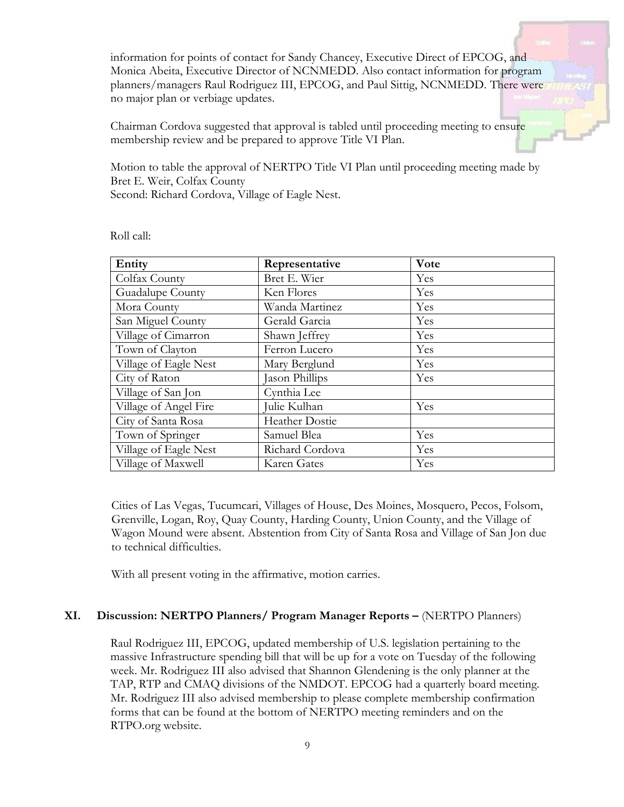information for points of contact for Sandy Chancey, Executive Direct of EPCOG, and Monica Abeita, Executive Director of NCNMEDD. Also contact information for program planners/managers Raul Rodriguez III, EPCOG, and Paul Sittig, NCNMEDD. There were no major plan or verbiage updates.

Chairman Cordova suggested that approval is tabled until proceeding meeting to ensure membership review and be prepared to approve Title VI Plan.

Motion to table the approval of NERTPO Title VI Plan until proceeding meeting made by Bret E. Weir, Colfax County Second: Richard Cordova, Village of Eagle Nest.

| Entity                | Representative        | Vote |
|-----------------------|-----------------------|------|
| Colfax County         | Bret E. Wier          | Yes  |
| Guadalupe County      | Ken Flores            | Yes  |
| Mora County           | Wanda Martinez        | Yes  |
| San Miguel County     | Gerald Garcia         | Yes  |
| Village of Cimarron   | Shawn Jeffrey         | Yes  |
| Town of Clayton       | Ferron Lucero         | Yes  |
| Village of Eagle Nest | Mary Berglund         | Yes  |
| City of Raton         | Jason Phillips        | Yes  |
| Village of San Jon    | Cynthia Lee           |      |
| Village of Angel Fire | Julie Kulhan          | Yes  |
| City of Santa Rosa    | <b>Heather Dostie</b> |      |
| Town of Springer      | Samuel Blea           | Yes  |
| Village of Eagle Nest | Richard Cordova       | Yes  |
| Village of Maxwell    | Karen Gates           | Yes  |

Roll call:

Cities of Las Vegas, Tucumcari, Villages of House, Des Moines, Mosquero, Pecos, Folsom, Grenville, Logan, Roy, Quay County, Harding County, Union County, and the Village of Wagon Mound were absent. Abstention from City of Santa Rosa and Village of San Jon due to technical difficulties.

With all present voting in the affirmative, motion carries.

#### **XI. Discussion: NERTPO Planners/ Program Manager Reports –** (NERTPO Planners)

Raul Rodriguez III, EPCOG, updated membership of U.S. legislation pertaining to the massive Infrastructure spending bill that will be up for a vote on Tuesday of the following week. Mr. Rodriguez III also advised that Shannon Glendening is the only planner at the TAP, RTP and CMAQ divisions of the NMDOT. EPCOG had a quarterly board meeting. Mr. Rodriguez III also advised membership to please complete membership confirmation forms that can be found at the bottom of NERTPO meeting reminders and on the RTPO.org website.